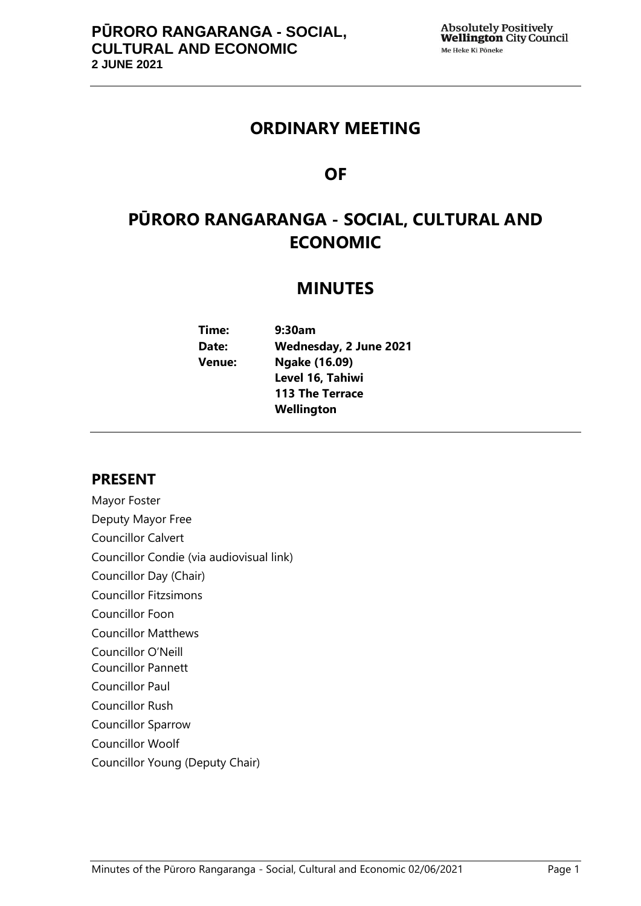## **ORDINARY MEETING**

## **OF**

# **PŪRORO RANGARANGA - SOCIAL, CULTURAL AND ECONOMIC**

## **MINUTES**

**Time: 9:30am Date: Wednesday, 2 June 2021 Venue: Ngake (16.09) Level 16, Tahiwi 113 The Terrace Wellington**

## **PRESENT**

Mayor Foster Deputy Mayor Free Councillor Calvert Councillor Condie (via audiovisual link) Councillor Day (Chair) Councillor Fitzsimons Councillor Foon Councillor Matthews Councillor O'Neill Councillor Pannett Councillor Paul Councillor Rush Councillor Sparrow Councillor Woolf Councillor Young (Deputy Chair)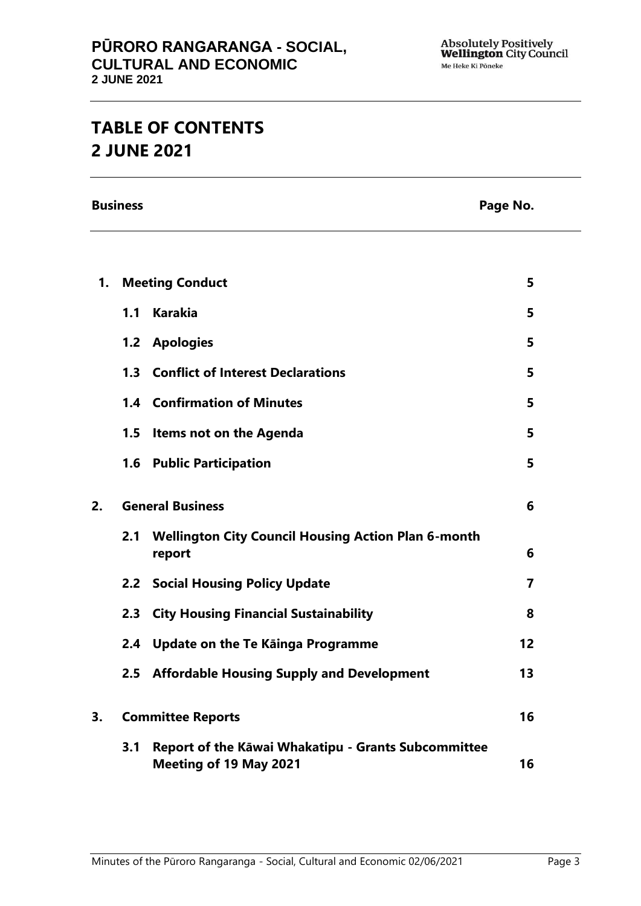# **TABLE OF CONTENTS 2 JUNE 2021**

**Business Page No.**

| 1. | <b>Meeting Conduct</b>   |                                                                                      | 5              |  |
|----|--------------------------|--------------------------------------------------------------------------------------|----------------|--|
|    | 1.1                      | <b>Karakia</b>                                                                       | 5              |  |
|    |                          | 1.2 Apologies                                                                        | 5              |  |
|    |                          | 1.3 Conflict of Interest Declarations                                                | 5              |  |
|    |                          | <b>1.4 Confirmation of Minutes</b>                                                   | 5              |  |
|    | 1.5                      | <b>Items not on the Agenda</b>                                                       | 5              |  |
|    |                          | 1.6 Public Participation                                                             | 5              |  |
| 2. | <b>General Business</b>  |                                                                                      | 6              |  |
|    | 2.1                      | <b>Wellington City Council Housing Action Plan 6-month</b><br>report                 | 6              |  |
|    |                          | <b>2.2 Social Housing Policy Update</b>                                              | $\overline{7}$ |  |
|    | 2.3                      | <b>City Housing Financial Sustainability</b>                                         | 8              |  |
|    | 2.4                      | Update on the Te Kāinga Programme                                                    | 12             |  |
|    |                          | 2.5 Affordable Housing Supply and Development                                        | 13             |  |
| 3. | <b>Committee Reports</b> |                                                                                      | 16             |  |
|    | 3.1                      | Report of the Kāwai Whakatipu - Grants Subcommittee<br><b>Meeting of 19 May 2021</b> | 16             |  |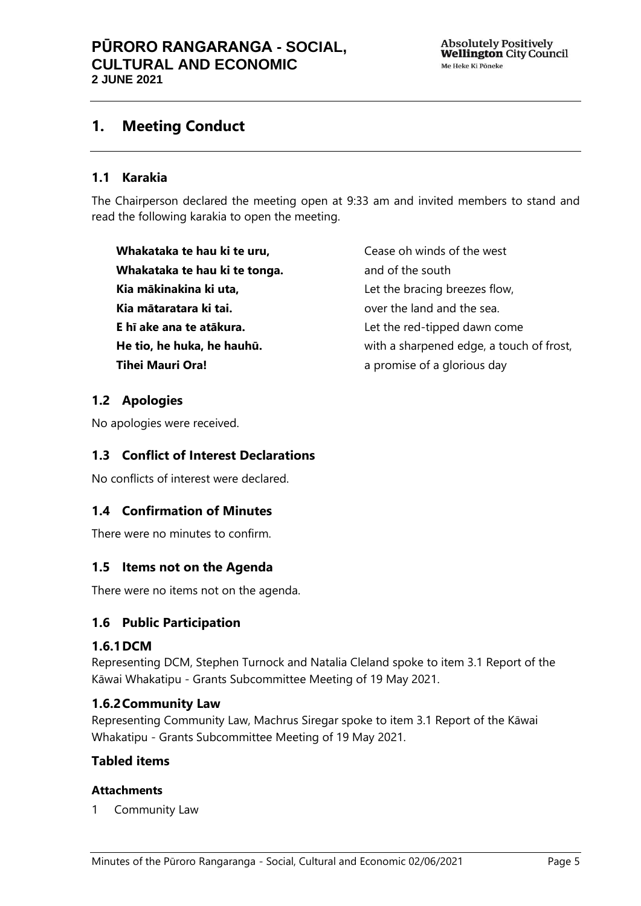## <span id="page-4-0"></span>**1. Meeting Conduct**

## **1.1 Karakia**

The Chairperson declared the meeting open at 9:33 am and invited members to stand and read the following karakia to open the meeting.

**Whakataka te hau ki te uru, Whakataka te hau ki te tonga. Kia mākinakina ki uta, Kia mātaratara ki tai. E hī ake ana te atākura. He tio, he huka, he hauhū. Tihei Mauri Ora!**

Cease oh winds of the west and of the south Let the bracing breezes flow, over the land and the sea. Let the red-tipped dawn come with a sharpened edge, a touch of frost, a promise of a glorious day

## <span id="page-4-1"></span>**1.2 Apologies**

No apologies were received.

## <span id="page-4-2"></span>**1.3 Conflict of Interest Declarations**

No conflicts of interest were declared.

## <span id="page-4-3"></span>**1.4 Confirmation of Minutes**

<span id="page-4-4"></span>There were no minutes to confirm.

## **1.5 Items not on the Agenda**

There were no items not on the agenda.

## <span id="page-4-5"></span>**1.6 Public Participation**

## **1.6.1DCM**

Representing DCM, Stephen Turnock and Natalia Cleland spoke to item 3.1 Report of the Kāwai Whakatipu - Grants Subcommittee Meeting of 19 May 2021.

## **1.6.2Community Law**

Representing Community Law, Machrus Siregar spoke to item 3.1 Report of the Kāwai Whakatipu - Grants Subcommittee Meeting of 19 May 2021.

## **Tabled items**

#### **Attachments**

1 Community Law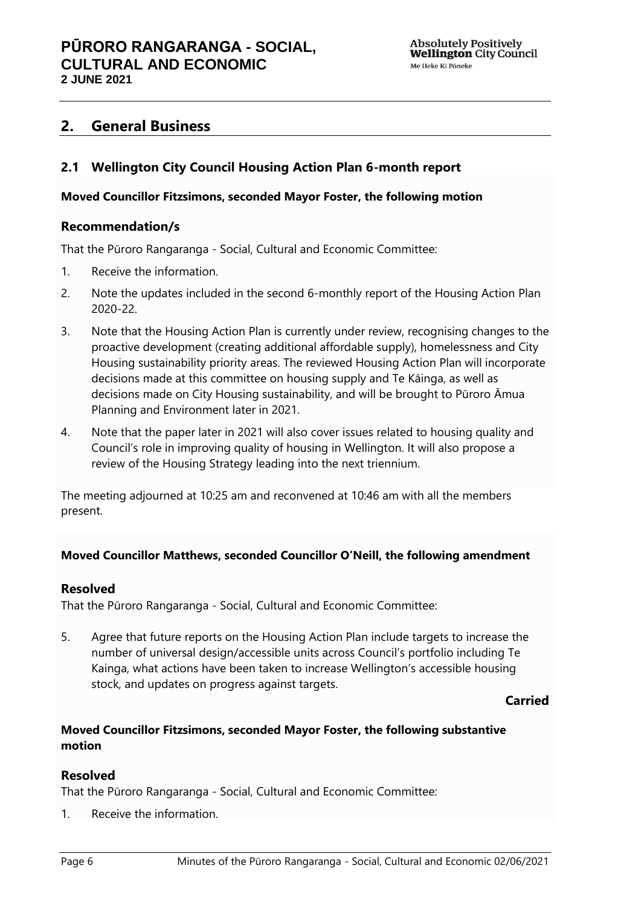## <span id="page-5-0"></span>**2. General Business**

## <span id="page-5-1"></span>**2.1 Wellington City Council Housing Action Plan 6-month report**

#### **Moved Councillor Fitzsimons, seconded Mayor Foster, the following motion**

### **Recommendation/s**

That the Pūroro Rangaranga - Social, Cultural and Economic Committee:

- 1. Receive the information.
- 2. Note the updates included in the second 6-monthly report of the Housing Action Plan 2020-22.
- 3. Note that the Housing Action Plan is currently under review, recognising changes to the proactive development (creating additional affordable supply), homelessness and City Housing sustainability priority areas. The reviewed Housing Action Plan will incorporate decisions made at this committee on housing supply and Te Kāinga, as well as decisions made on City Housing sustainability, and will be brought to Pūroro Āmua Planning and Environment later in 2021.
- 4. Note that the paper later in 2021 will also cover issues related to housing quality and Council's role in improving quality of housing in Wellington. It will also propose a review of the Housing Strategy leading into the next triennium.

The meeting adjourned at 10:25 am and reconvened at 10:46 am with all the members present.

## **Moved Councillor Matthews, seconded Councillor O'Neill, the following amendment**

#### **Resolved**

That the Pūroro Rangaranga - Social, Cultural and Economic Committee:

5. Agree that future reports on the Housing Action Plan include targets to increase the number of universal design/accessible units across Council's portfolio including Te Kainga, what actions have been taken to increase Wellington's accessible housing stock, and updates on progress against targets.

## **Carried**

## **Moved Councillor Fitzsimons, seconded Mayor Foster, the following substantive motion**

## **Resolved**

That the Pūroro Rangaranga - Social, Cultural and Economic Committee:

1. Receive the information.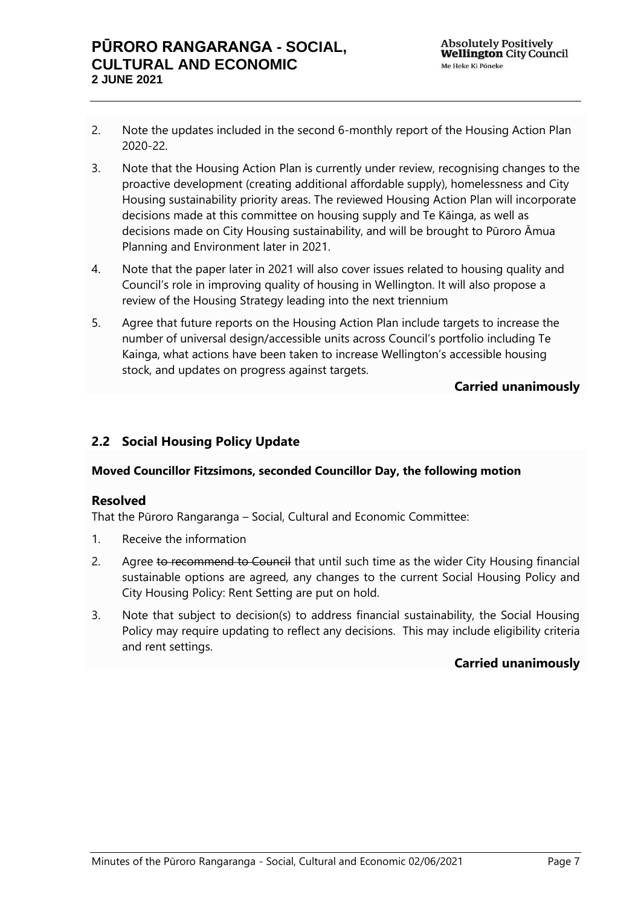- 2. Note the updates included in the second 6-monthly report of the Housing Action Plan 2020-22.
- 3. Note that the Housing Action Plan is currently under review, recognising changes to the proactive development (creating additional affordable supply), homelessness and City Housing sustainability priority areas. The reviewed Housing Action Plan will incorporate decisions made at this committee on housing supply and Te Kāinga, as well as decisions made on City Housing sustainability, and will be brought to Pūroro Āmua Planning and Environment later in 2021.
- 4. Note that the paper later in 2021 will also cover issues related to housing quality and Council's role in improving quality of housing in Wellington. It will also propose a review of the Housing Strategy leading into the next triennium
- 5. Agree that future reports on the Housing Action Plan include targets to increase the number of universal design/accessible units across Council's portfolio including Te Kainga, what actions have been taken to increase Wellington's accessible housing stock, and updates on progress against targets.

## **Carried unanimously**

## <span id="page-6-0"></span>**2.2 Social Housing Policy Update**

## **Moved Councillor Fitzsimons, seconded Councillor Day, the following motion**

## **Resolved**

That the Pūroro Rangaranga – Social, Cultural and Economic Committee:

- 1. Receive the information
- 2. Agree to recommend to Council that until such time as the wider City Housing financial sustainable options are agreed, any changes to the current Social Housing Policy and City Housing Policy: Rent Setting are put on hold.
- 3. Note that subject to decision(s) to address financial sustainability, the Social Housing Policy may require updating to reflect any decisions. This may include eligibility criteria and rent settings.

## **Carried unanimously**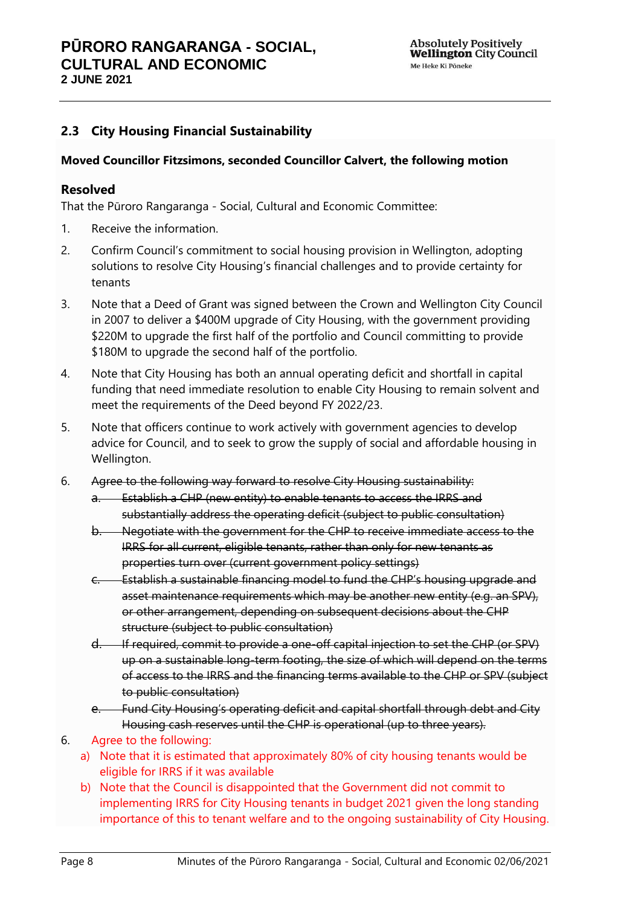## <span id="page-7-0"></span>**2.3 City Housing Financial Sustainability**

#### **Moved Councillor Fitzsimons, seconded Councillor Calvert, the following motion**

### **Resolved**

That the Pūroro Rangaranga - Social, Cultural and Economic Committee:

- 1. Receive the information.
- 2. Confirm Council's commitment to social housing provision in Wellington, adopting solutions to resolve City Housing's financial challenges and to provide certainty for tenants
- 3. Note that a Deed of Grant was signed between the Crown and Wellington City Council in 2007 to deliver a \$400M upgrade of City Housing, with the government providing \$220M to upgrade the first half of the portfolio and Council committing to provide \$180M to upgrade the second half of the portfolio.
- 4. Note that City Housing has both an annual operating deficit and shortfall in capital funding that need immediate resolution to enable City Housing to remain solvent and meet the requirements of the Deed beyond FY 2022/23.
- 5. Note that officers continue to work actively with government agencies to develop advice for Council, and to seek to grow the supply of social and affordable housing in Wellington.
- 6. Agree to the following way forward to resolve City Housing sustainability:
	- a. Establish a CHP (new entity) to enable tenants to access the IRRS and substantially address the operating deficit (subject to public consultation)
	- b. Negotiate with the government for the CHP to receive immediate access to the IRRS for all current, eligible tenants, rather than only for new tenants as properties turn over (current government policy settings)
	- c. Establish a sustainable financing model to fund the CHP's housing upgrade and asset maintenance requirements which may be another new entity (e.g. an SPV), or other arrangement, depending on subsequent decisions about the CHP structure (subject to public consultation)
	- d. If required, commit to provide a one-off capital injection to set the CHP (or SPV) up on a sustainable long-term footing, the size of which will depend on the terms of access to the IRRS and the financing terms available to the CHP or SPV (subject to public consultation)
	- e. Fund City Housing's operating deficit and capital shortfall through debt and City Housing cash reserves until the CHP is operational (up to three years).
- 6. Agree to the following:
	- a) Note that it is estimated that approximately 80% of city housing tenants would be eligible for IRRS if it was available
	- b) Note that the Council is disappointed that the Government did not commit to implementing IRRS for City Housing tenants in budget 2021 given the long standing importance of this to tenant welfare and to the ongoing sustainability of City Housing.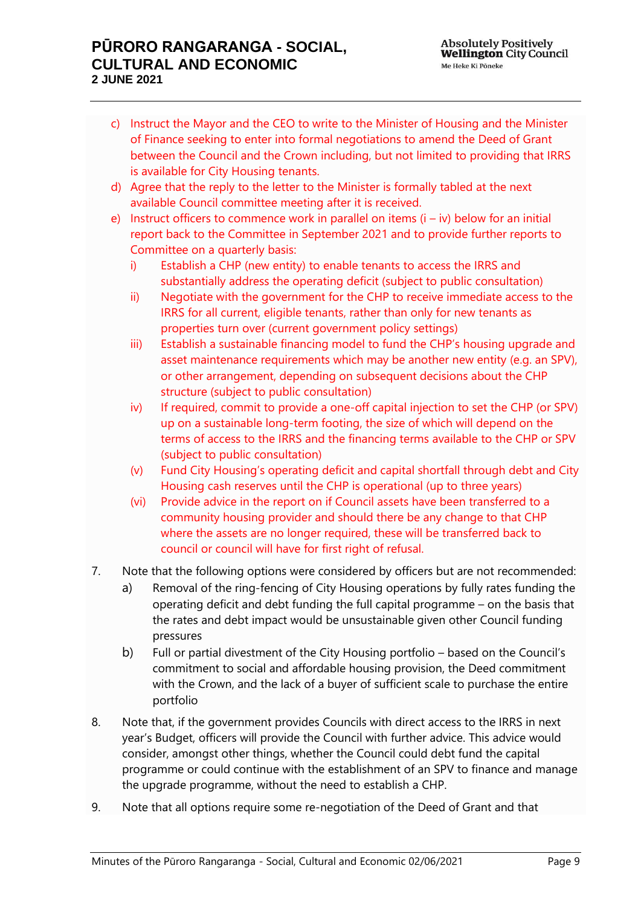## **PŪRORO RANGARANGA - SOCIAL, CULTURAL AND ECONOMIC 2 JUNE 2021**

- c) Instruct the Mayor and the CEO to write to the Minister of Housing and the Minister of Finance seeking to enter into formal negotiations to amend the Deed of Grant between the Council and the Crown including, but not limited to providing that IRRS is available for City Housing tenants.
- d) Agree that the reply to the letter to the Minister is formally tabled at the next available Council committee meeting after it is received.
- e) Instruct officers to commence work in parallel on items  $(i iv)$  below for an initial report back to the Committee in September 2021 and to provide further reports to Committee on a quarterly basis:
	- i) Establish a CHP (new entity) to enable tenants to access the IRRS and substantially address the operating deficit (subject to public consultation)
	- ii) Negotiate with the government for the CHP to receive immediate access to the IRRS for all current, eligible tenants, rather than only for new tenants as properties turn over (current government policy settings)
	- iii) Establish a sustainable financing model to fund the CHP's housing upgrade and asset maintenance requirements which may be another new entity (e.g. an SPV), or other arrangement, depending on subsequent decisions about the CHP structure (subject to public consultation)
	- iv) If required, commit to provide a one-off capital injection to set the CHP (or SPV) up on a sustainable long-term footing, the size of which will depend on the terms of access to the IRRS and the financing terms available to the CHP or SPV (subject to public consultation)
	- (v) Fund City Housing's operating deficit and capital shortfall through debt and City Housing cash reserves until the CHP is operational (up to three years)
	- (vi) Provide advice in the report on if Council assets have been transferred to a community housing provider and should there be any change to that CHP where the assets are no longer required, these will be transferred back to council or council will have for first right of refusal.
- 7. Note that the following options were considered by officers but are not recommended:
	- a) Removal of the ring-fencing of City Housing operations by fully rates funding the operating deficit and debt funding the full capital programme – on the basis that the rates and debt impact would be unsustainable given other Council funding pressures
	- b) Full or partial divestment of the City Housing portfolio based on the Council's commitment to social and affordable housing provision, the Deed commitment with the Crown, and the lack of a buyer of sufficient scale to purchase the entire portfolio
- 8. Note that, if the government provides Councils with direct access to the IRRS in next year's Budget, officers will provide the Council with further advice. This advice would consider, amongst other things, whether the Council could debt fund the capital programme or could continue with the establishment of an SPV to finance and manage the upgrade programme, without the need to establish a CHP.
- 9. Note that all options require some re-negotiation of the Deed of Grant and that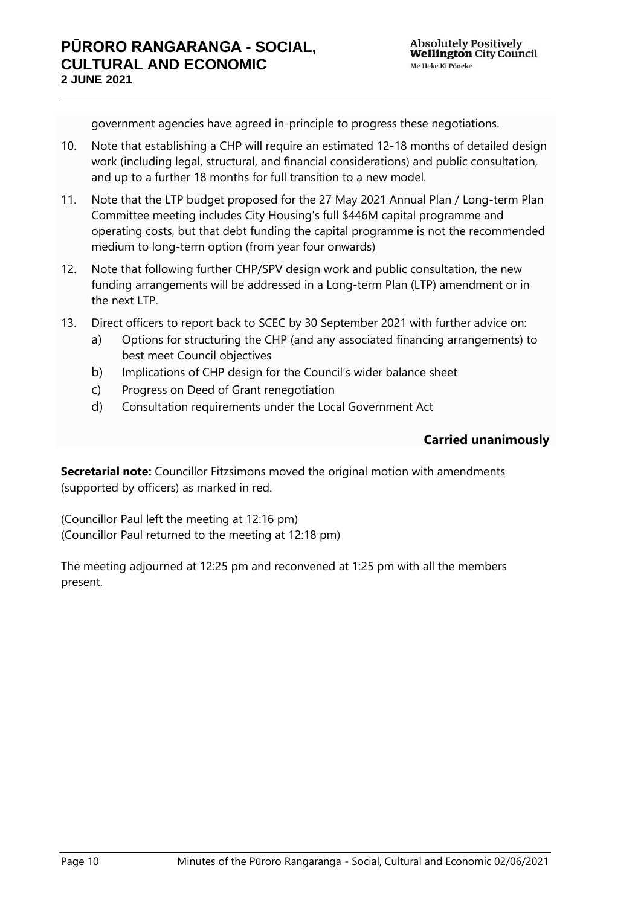government agencies have agreed in-principle to progress these negotiations.

- 10. Note that establishing a CHP will require an estimated 12-18 months of detailed design work (including legal, structural, and financial considerations) and public consultation, and up to a further 18 months for full transition to a new model.
- 11. Note that the LTP budget proposed for the 27 May 2021 Annual Plan / Long-term Plan Committee meeting includes City Housing's full \$446M capital programme and operating costs, but that debt funding the capital programme is not the recommended medium to long-term option (from year four onwards)
- 12. Note that following further CHP/SPV design work and public consultation, the new funding arrangements will be addressed in a Long-term Plan (LTP) amendment or in the next LTP.
- 13. Direct officers to report back to SCEC by 30 September 2021 with further advice on:
	- a) Options for structuring the CHP (and any associated financing arrangements) to best meet Council objectives
	- b) Implications of CHP design for the Council's wider balance sheet
	- c) Progress on Deed of Grant renegotiation
	- d) Consultation requirements under the Local Government Act

## **Carried unanimously**

**Secretarial note:** Councillor Fitzsimons moved the original motion with amendments (supported by officers) as marked in red.

(Councillor Paul left the meeting at 12:16 pm) (Councillor Paul returned to the meeting at 12:18 pm)

The meeting adjourned at 12:25 pm and reconvened at 1:25 pm with all the members present.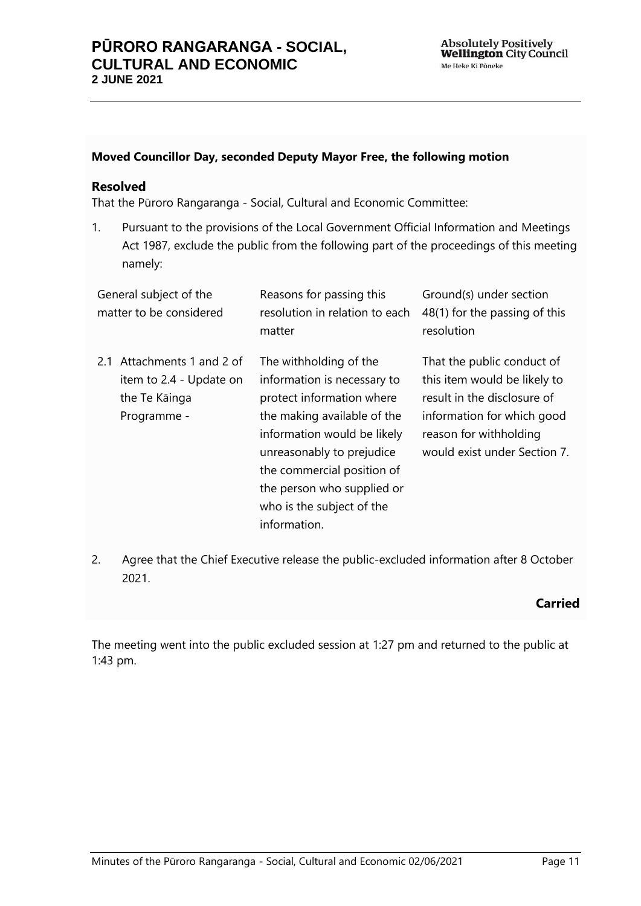#### **Moved Councillor Day, seconded Deputy Mayor Free, the following motion**

### **Resolved**

That the Pūroro Rangaranga - Social, Cultural and Economic Committee:

1. Pursuant to the provisions of the Local Government Official Information and Meetings Act 1987, exclude the public from the following part of the proceedings of this meeting namely:

| General subject of the<br>matter to be considered                                        | Reasons for passing this<br>resolution in relation to each<br>matter                                                                                                                                                                                                                   | Ground(s) under section<br>48(1) for the passing of this<br>resolution                                                                                                            |
|------------------------------------------------------------------------------------------|----------------------------------------------------------------------------------------------------------------------------------------------------------------------------------------------------------------------------------------------------------------------------------------|-----------------------------------------------------------------------------------------------------------------------------------------------------------------------------------|
| Attachments 1 and 2 of<br>2.1<br>item to 2.4 - Update on<br>the Te Kāinga<br>Programme - | The withholding of the<br>information is necessary to<br>protect information where<br>the making available of the<br>information would be likely<br>unreasonably to prejudice<br>the commercial position of<br>the person who supplied or<br>who is the subject of the<br>information. | That the public conduct of<br>this item would be likely to<br>result in the disclosure of<br>information for which good<br>reason for withholding<br>would exist under Section 7. |

2. Agree that the Chief Executive release the public-excluded information after 8 October 2021.

## **Carried**

The meeting went into the public excluded session at 1:27 pm and returned to the public at 1:43 pm.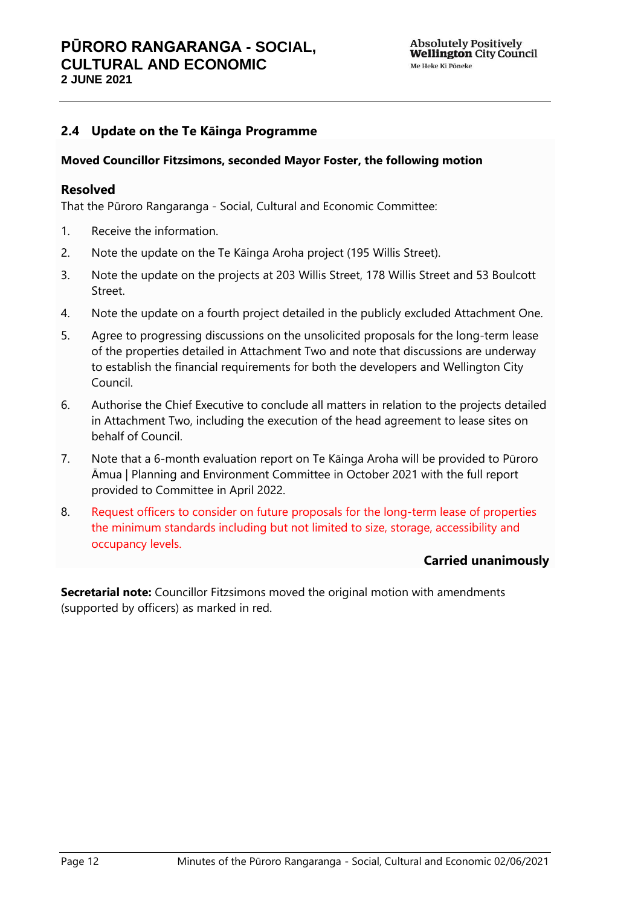## <span id="page-11-0"></span>**2.4 Update on the Te Kāinga Programme**

#### **Moved Councillor Fitzsimons, seconded Mayor Foster, the following motion**

### **Resolved**

That the Pūroro Rangaranga - Social, Cultural and Economic Committee:

- 1. Receive the information.
- 2. Note the update on the Te Kāinga Aroha project (195 Willis Street).
- 3. Note the update on the projects at 203 Willis Street, 178 Willis Street and 53 Boulcott Street.
- 4. Note the update on a fourth project detailed in the publicly excluded Attachment One.
- 5. Agree to progressing discussions on the unsolicited proposals for the long-term lease of the properties detailed in Attachment Two and note that discussions are underway to establish the financial requirements for both the developers and Wellington City Council.
- 6. Authorise the Chief Executive to conclude all matters in relation to the projects detailed in Attachment Two, including the execution of the head agreement to lease sites on behalf of Council.
- 7. Note that a 6-month evaluation report on Te Kāinga Aroha will be provided to Pūroro Āmua | Planning and Environment Committee in October 2021 with the full report provided to Committee in April 2022.
- 8. Request officers to consider on future proposals for the long-term lease of properties the minimum standards including but not limited to size, storage, accessibility and occupancy levels.

## **Carried unanimously**

**Secretarial note:** Councillor Fitzsimons moved the original motion with amendments (supported by officers) as marked in red.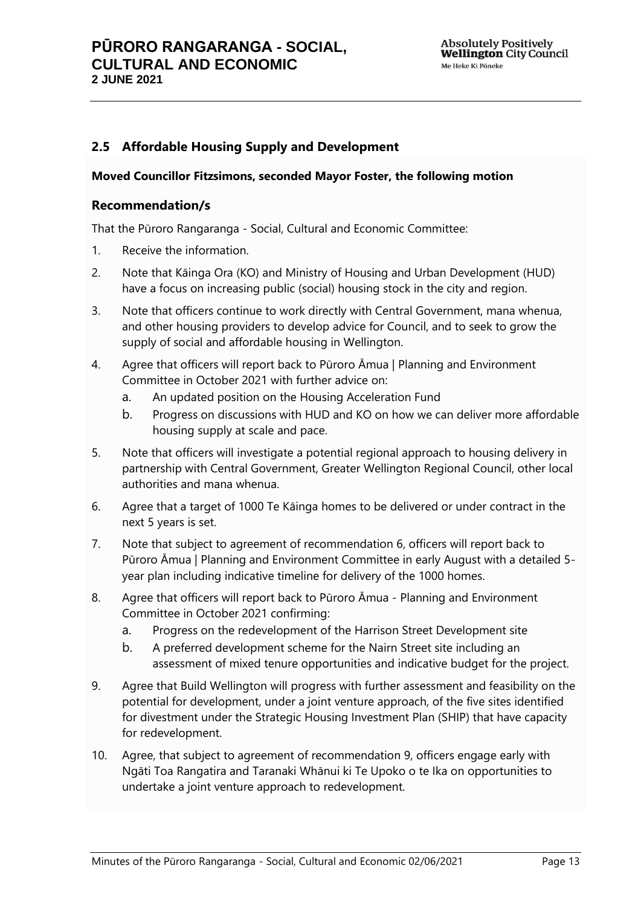## <span id="page-12-0"></span>**2.5 Affordable Housing Supply and Development**

#### **Moved Councillor Fitzsimons, seconded Mayor Foster, the following motion**

### **Recommendation/s**

That the Pūroro Rangaranga - Social, Cultural and Economic Committee:

- 1. Receive the information.
- 2. Note that Kāinga Ora (KO) and Ministry of Housing and Urban Development (HUD) have a focus on increasing public (social) housing stock in the city and region.
- 3. Note that officers continue to work directly with Central Government, mana whenua, and other housing providers to develop advice for Council, and to seek to grow the supply of social and affordable housing in Wellington.
- 4. Agree that officers will report back to Pūroro Āmua | Planning and Environment Committee in October 2021 with further advice on:
	- a. An updated position on the Housing Acceleration Fund
	- b. Progress on discussions with HUD and KO on how we can deliver more affordable housing supply at scale and pace.
- 5. Note that officers will investigate a potential regional approach to housing delivery in partnership with Central Government, Greater Wellington Regional Council, other local authorities and mana whenua.
- 6. Agree that a target of 1000 Te Kāinga homes to be delivered or under contract in the next 5 years is set.
- 7. Note that subject to agreement of recommendation 6, officers will report back to Pūroro Āmua | Planning and Environment Committee in early August with a detailed 5 year plan including indicative timeline for delivery of the 1000 homes.
- 8. Agree that officers will report back to Pūroro Āmua Planning and Environment Committee in October 2021 confirming:
	- a. Progress on the redevelopment of the Harrison Street Development site
	- b. A preferred development scheme for the Nairn Street site including an assessment of mixed tenure opportunities and indicative budget for the project.
- 9. Agree that Build Wellington will progress with further assessment and feasibility on the potential for development, under a joint venture approach, of the five sites identified for divestment under the Strategic Housing Investment Plan (SHIP) that have capacity for redevelopment.
- 10. Agree, that subject to agreement of recommendation 9, officers engage early with Ngāti Toa Rangatira and Taranaki Whānui ki Te Upoko o te Ika on opportunities to undertake a joint venture approach to redevelopment.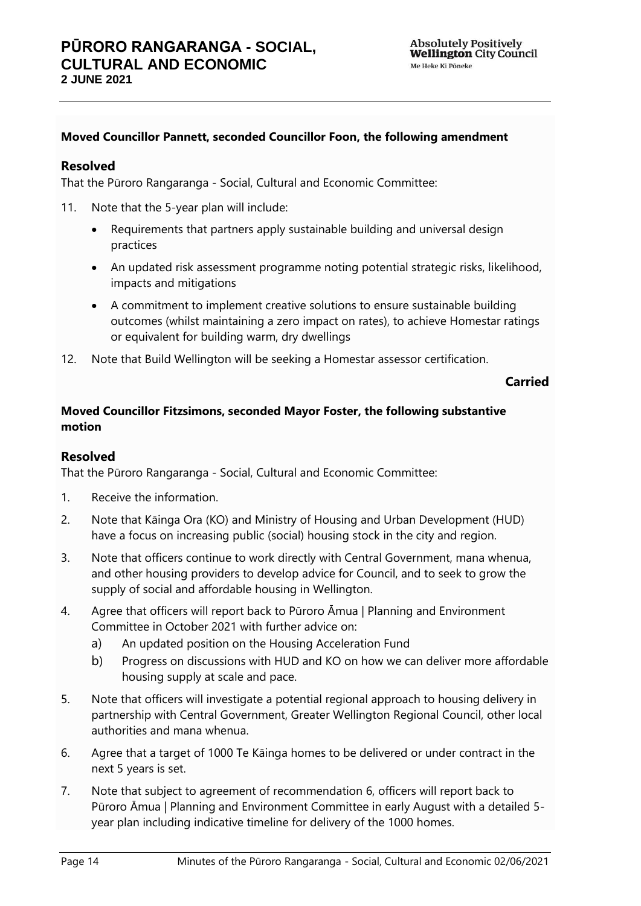## **Moved Councillor Pannett, seconded Councillor Foon, the following amendment**

### **Resolved**

That the Pūroro Rangaranga - Social, Cultural and Economic Committee:

- 11. Note that the 5-year plan will include:
	- Requirements that partners apply sustainable building and universal design practices
	- An updated risk assessment programme noting potential strategic risks, likelihood, impacts and mitigations
	- A commitment to implement creative solutions to ensure sustainable building outcomes (whilst maintaining a zero impact on rates), to achieve Homestar ratings or equivalent for building warm, dry dwellings
- 12. Note that Build Wellington will be seeking a Homestar assessor certification.

### **Carried**

## **Moved Councillor Fitzsimons, seconded Mayor Foster, the following substantive motion**

### **Resolved**

That the Pūroro Rangaranga - Social, Cultural and Economic Committee:

- 1. Receive the information.
- 2. Note that Kāinga Ora (KO) and Ministry of Housing and Urban Development (HUD) have a focus on increasing public (social) housing stock in the city and region.
- 3. Note that officers continue to work directly with Central Government, mana whenua, and other housing providers to develop advice for Council, and to seek to grow the supply of social and affordable housing in Wellington.
- 4. Agree that officers will report back to Pūroro Āmua | Planning and Environment Committee in October 2021 with further advice on:
	- a) An updated position on the Housing Acceleration Fund
	- b) Progress on discussions with HUD and KO on how we can deliver more affordable housing supply at scale and pace.
- 5. Note that officers will investigate a potential regional approach to housing delivery in partnership with Central Government, Greater Wellington Regional Council, other local authorities and mana whenua.
- 6. Agree that a target of 1000 Te Kāinga homes to be delivered or under contract in the next 5 years is set.
- 7. Note that subject to agreement of recommendation 6, officers will report back to Pūroro Āmua | Planning and Environment Committee in early August with a detailed 5 year plan including indicative timeline for delivery of the 1000 homes.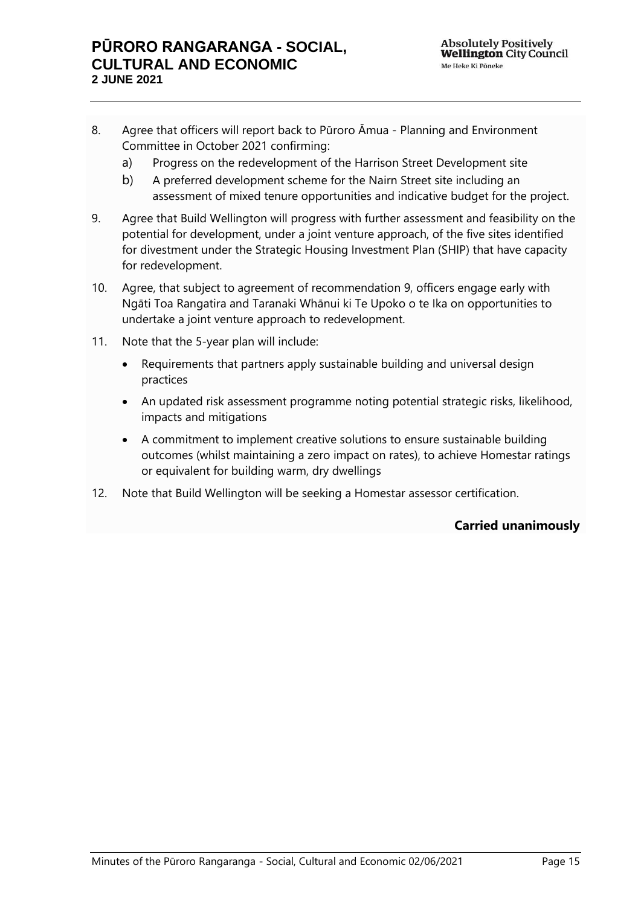- 8. Agree that officers will report back to Pūroro Āmua Planning and Environment Committee in October 2021 confirming:
	- a) Progress on the redevelopment of the Harrison Street Development site
	- b) A preferred development scheme for the Nairn Street site including an assessment of mixed tenure opportunities and indicative budget for the project.
- 9. Agree that Build Wellington will progress with further assessment and feasibility on the potential for development, under a joint venture approach, of the five sites identified for divestment under the Strategic Housing Investment Plan (SHIP) that have capacity for redevelopment.
- 10. Agree, that subject to agreement of recommendation 9, officers engage early with Ngāti Toa Rangatira and Taranaki Whānui ki Te Upoko o te Ika on opportunities to undertake a joint venture approach to redevelopment.
- 11. Note that the 5-year plan will include:
	- Requirements that partners apply sustainable building and universal design practices
	- An updated risk assessment programme noting potential strategic risks, likelihood, impacts and mitigations
	- A commitment to implement creative solutions to ensure sustainable building outcomes (whilst maintaining a zero impact on rates), to achieve Homestar ratings or equivalent for building warm, dry dwellings
- 12. Note that Build Wellington will be seeking a Homestar assessor certification.

**Carried unanimously**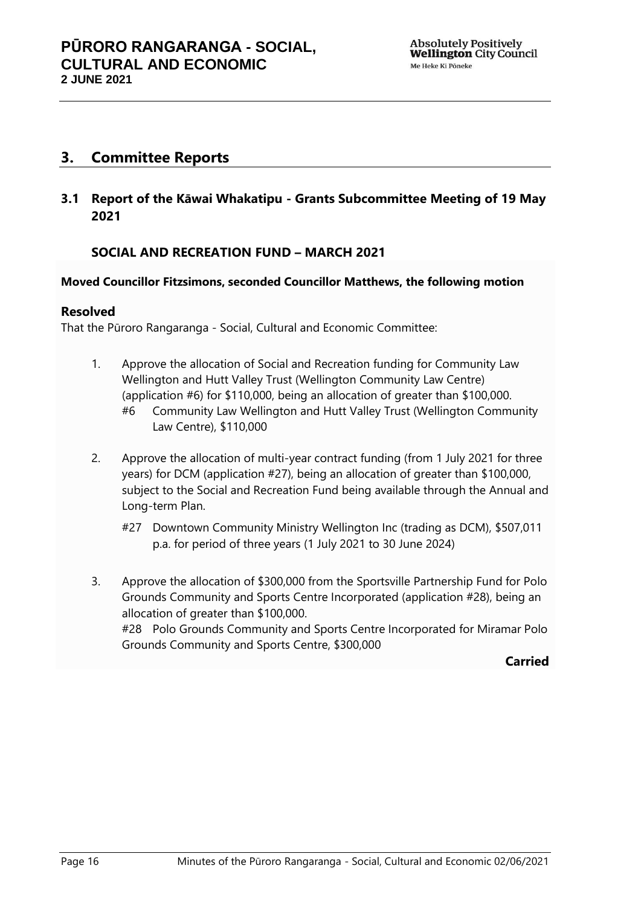## <span id="page-15-0"></span>**3. Committee Reports**

<span id="page-15-1"></span>**3.1 Report of the Kāwai Whakatipu - Grants Subcommittee Meeting of 19 May 2021**

## **SOCIAL AND RECREATION FUND – MARCH 2021**

### **Moved Councillor Fitzsimons, seconded Councillor Matthews, the following motion**

### **Resolved**

That the Pūroro Rangaranga - Social, Cultural and Economic Committee:

- 1. Approve the allocation of Social and Recreation funding for Community Law Wellington and Hutt Valley Trust (Wellington Community Law Centre) (application #6) for \$110,000, being an allocation of greater than \$100,000. #6 Community Law Wellington and Hutt Valley Trust (Wellington Community Law Centre), \$110,000
- 2. Approve the allocation of multi-year contract funding (from 1 July 2021 for three years) for DCM (application #27), being an allocation of greater than \$100,000, subject to the Social and Recreation Fund being available through the Annual and Long-term Plan.
	- #27 Downtown Community Ministry Wellington Inc (trading as DCM), \$507,011 p.a. for period of three years (1 July 2021 to 30 June 2024)
- 3. Approve the allocation of \$300,000 from the Sportsville Partnership Fund for Polo Grounds Community and Sports Centre Incorporated (application #28), being an allocation of greater than \$100,000. #28 Polo Grounds Community and Sports Centre Incorporated for Miramar Polo Grounds Community and Sports Centre, \$300,000

**Carried**